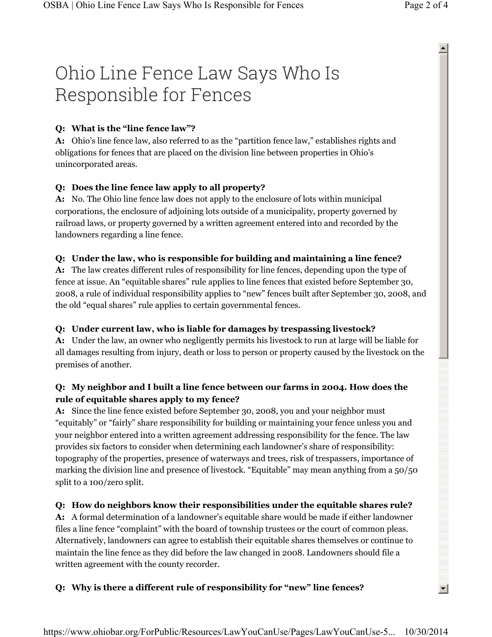# Ohio Line Fence Law Says Who Is Responsible for Fences

## **Q: What is the "line fence law"?**

**A:** Ohio's line fence law, also referred to as the "partition fence law," establishes rights and obligations for fences that are placed on the division line between properties in Ohio's unincorporated areas.

 $\blacktriangle$ 

 $\left| \cdot \right|$ 

#### **Q: Does the line fence law apply to all property?**

**A:** No. The Ohio line fence law does not apply to the enclosure of lots within municipal corporations, the enclosure of adjoining lots outside of a municipality, property governed by railroad laws, or property governed by a written agreement entered into and recorded by the landowners regarding a line fence.

#### **Q: Under the law, who is responsible for building and maintaining a line fence?**

**A:** The law creates different rules of responsibility for line fences, depending upon the type of fence at issue. An "equitable shares" rule applies to line fences that existed before September 30, 2008, a rule of individual responsibility applies to "new" fences built after September 30, 2008, and the old "equal shares" rule applies to certain governmental fences.

#### **Q: Under current law, who is liable for damages by trespassing livestock?**

**A:** Under the law, an owner who negligently permits his livestock to run at large will be liable for all damages resulting from injury, death or loss to person or property caused by the livestock on the premises of another.

## **Q: My neighbor and I built a line fence between our farms in 2004. How does the rule of equitable shares apply to my fence?**

**A:** Since the line fence existed before September 30, 2008, you and your neighbor must "equitably" or "fairly" share responsibility for building or maintaining your fence unless you and your neighbor entered into a written agreement addressing responsibility for the fence. The law provides six factors to consider when determining each landowner's share of responsibility: topography of the properties, presence of waterways and trees, risk of trespassers, importance of marking the division line and presence of livestock. "Equitable" may mean anything from a 50/50 split to a 100/zero split.

#### **Q: How do neighbors know their responsibilities under the equitable shares rule?**

**A:** A formal determination of a landowner's equitable share would be made if either landowner files a line fence "complaint" with the board of township trustees or the court of common pleas. Alternatively, landowners can agree to establish their equitable shares themselves or continue to maintain the line fence as they did before the law changed in 2008. Landowners should file a written agreement with the county recorder.

#### **Q: Why is there a different rule of responsibility for "new" line fences?**